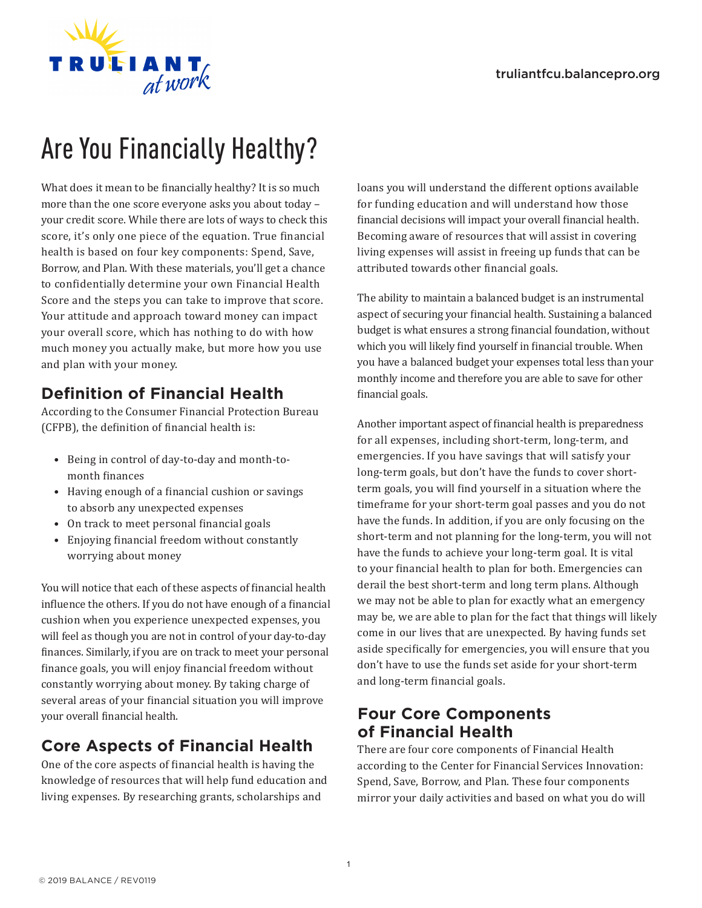

# Are You Financially Healthy?

What does it mean to be financially healthy? It is so much more than the one score everyone asks you about today – your credit score. While there are lots of ways to check this score, it's only one piece of the equation. True financial health is based on four key components: Spend, Save, Borrow, and Plan. With these materials, you'll get a chance to confidentially determine your own Financial Health Score and the steps you can take to improve that score. Your attitude and approach toward money can impact your overall score, which has nothing to do with how much money you actually make, but more how you use and plan with your money.

# **Definition of Financial Health**

According to the Consumer Financial Protection Bureau (CFPB), the definition of financial health is:

- Being in control of day-to-day and month-tomonth finances
- Having enough of a financial cushion or savings to absorb any unexpected expenses
- On track to meet personal financial goals
- Enjoying financial freedom without constantly worrying about money

You will notice that each of these aspects of financial health influence the others. If you do not have enough of a financial cushion when you experience unexpected expenses, you will feel as though you are not in control of your day-to-day finances. Similarly, if you are on track to meet your personal finance goals, you will enjoy financial freedom without constantly worrying about money. By taking charge of several areas of your financial situation you will improve your overall financial health.

# **Core Aspects of Financial Health**

One of the core aspects of financial health is having the knowledge of resources that will help fund education and living expenses. By researching grants, scholarships and

loans you will understand the different options available for funding education and will understand how those financial decisions will impact your overall financial health. Becoming aware of resources that will assist in covering living expenses will assist in freeing up funds that can be attributed towards other financial goals.

The ability to maintain a balanced budget is an instrumental aspect of securing your financial health. Sustaining a balanced budget is what ensures a strong financial foundation, without which you will likely find yourself in financial trouble. When you have a balanced budget your expenses total less than your monthly income and therefore you are able to save for other financial goals.

Another important aspect of financial health is preparedness for all expenses, including short-term, long-term, and emergencies. If you have savings that will satisfy your long-term goals, but don't have the funds to cover shortterm goals, you will find yourself in a situation where the timeframe for your short-term goal passes and you do not have the funds. In addition, if you are only focusing on the short-term and not planning for the long-term, you will not have the funds to achieve your long-term goal. It is vital to your financial health to plan for both. Emergencies can derail the best short-term and long term plans. Although we may not be able to plan for exactly what an emergency may be, we are able to plan for the fact that things will likely come in our lives that are unexpected. By having funds set aside specifically for emergencies, you will ensure that you don't have to use the funds set aside for your short-term and long-term financial goals.

# **Four Core Components of Financial Health**

There are four core components of Financial Health according to the Center for Financial Services Innovation: Spend, Save, Borrow, and Plan. These four components mirror your daily activities and based on what you do will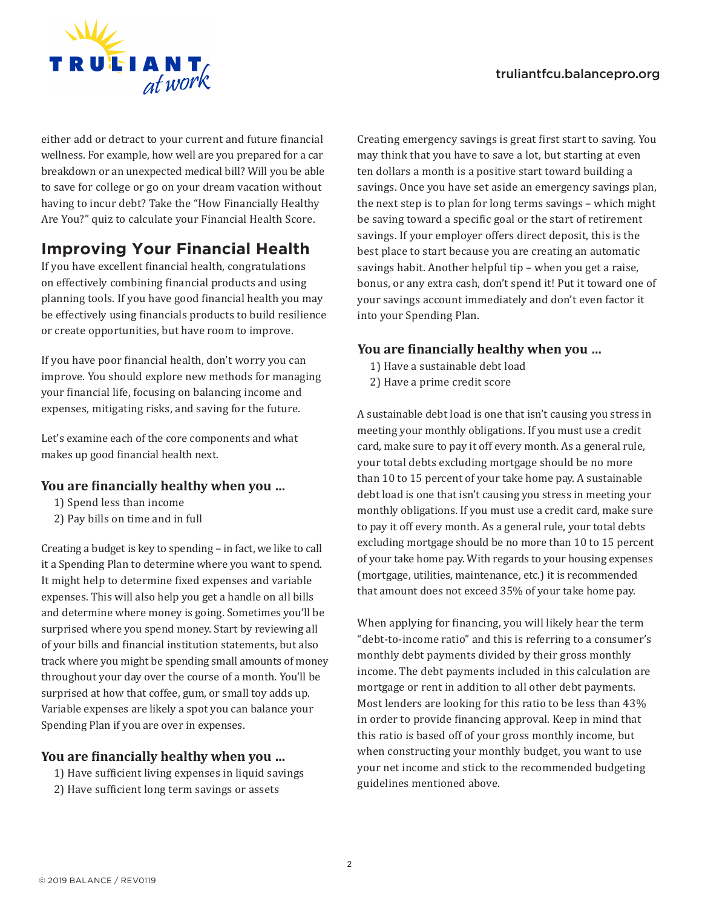#### truliantfcu.balancepro.org



either add or detract to your current and future financial wellness. For example, how well are you prepared for a car breakdown or an unexpected medical bill? Will you be able to save for college or go on your dream vacation without having to incur debt? Take the "How Financially Healthy Are You?" quiz to calculate your Financial Health Score.

# **Improving Your Financial Health**

If you have excellent financial health, congratulations on effectively combining financial products and using planning tools. If you have good financial health you may be effectively using financials products to build resilience or create opportunities, but have room to improve.

If you have poor financial health, don't worry you can improve. You should explore new methods for managing your financial life, focusing on balancing income and expenses, mitigating risks, and saving for the future.

Let's examine each of the core components and what makes up good financial health next.

#### **You are financially healthy when you …**

- 1) Spend less than income
- 2) Pay bills on time and in full

Creating a budget is key to spending – in fact, we like to call it a Spending Plan to determine where you want to spend. It might help to determine fixed expenses and variable expenses. This will also help you get a handle on all bills and determine where money is going. Sometimes you'll be surprised where you spend money. Start by reviewing all of your bills and financial institution statements, but also track where you might be spending small amounts of money throughout your day over the course of a month. You'll be surprised at how that coffee, gum, or small toy adds up. Variable expenses are likely a spot you can balance your Spending Plan if you are over in expenses.

#### **You are financially healthy when you …**

- 1) Have sufficient living expenses in liquid savings
- 2) Have sufficient long term savings or assets

Creating emergency savings is great first start to saving. You may think that you have to save a lot, but starting at even ten dollars a month is a positive start toward building a savings. Once you have set aside an emergency savings plan, the next step is to plan for long terms savings – which might be saving toward a specific goal or the start of retirement savings. If your employer offers direct deposit, this is the best place to start because you are creating an automatic savings habit. Another helpful tip – when you get a raise, bonus, or any extra cash, don't spend it! Put it toward one of your savings account immediately and don't even factor it into your Spending Plan.

#### **You are financially healthy when you …**

- 1) Have a sustainable debt load
- 2) Have a prime credit score

A sustainable debt load is one that isn't causing you stress in meeting your monthly obligations. If you must use a credit card, make sure to pay it off every month. As a general rule, your total debts excluding mortgage should be no more than 10 to 15 percent of your take home pay. A sustainable debt load is one that isn't causing you stress in meeting your monthly obligations. If you must use a credit card, make sure to pay it off every month. As a general rule, your total debts excluding mortgage should be no more than 10 to 15 percent of your take home pay. With regards to your housing expenses (mortgage, utilities, maintenance, etc.) it is recommended that amount does not exceed 35% of your take home pay.

When applying for financing, you will likely hear the term "debt-to-income ratio" and this is referring to a consumer's monthly debt payments divided by their gross monthly income. The debt payments included in this calculation are mortgage or rent in addition to all other debt payments. Most lenders are looking for this ratio to be less than 43% in order to provide financing approval. Keep in mind that this ratio is based off of your gross monthly income, but when constructing your monthly budget, you want to use your net income and stick to the recommended budgeting guidelines mentioned above.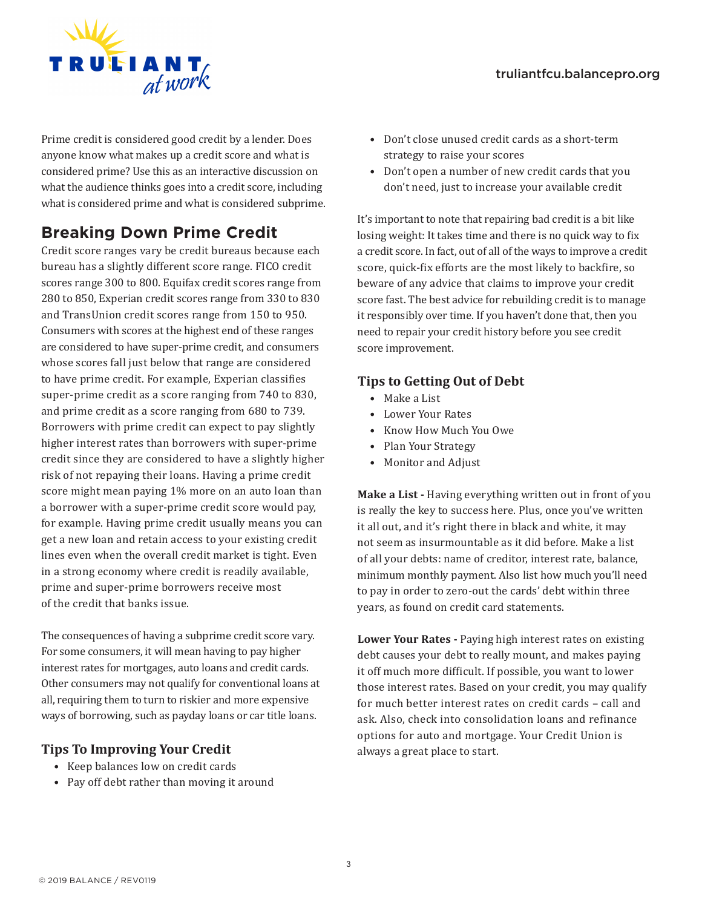

Prime credit is considered good credit by a lender. Does anyone know what makes up a credit score and what is considered prime? Use this as an interactive discussion on what the audience thinks goes into a credit score, including what is considered prime and what is considered subprime.

# **Breaking Down Prime Credit**

Credit score ranges vary be credit bureaus because each bureau has a slightly different score range. FICO credit scores range 300 to 800. Equifax credit scores range from 280 to 850, Experian credit scores range from 330 to 830 and TransUnion credit scores range from 150 to 950. Consumers with scores at the highest end of these ranges are considered to have super-prime credit, and consumers whose scores fall just below that range are considered to have prime credit. For example, Experian classifies super-prime credit as a score ranging from 740 to 830, and prime credit as a score ranging from 680 to 739. Borrowers with prime credit can expect to pay slightly higher interest rates than borrowers with super-prime credit since they are considered to have a slightly higher risk of not repaying their loans. Having a prime credit score might mean paying 1% more on an auto loan than a borrower with a super-prime credit score would pay, for example. Having prime credit usually means you can get a new loan and retain access to your existing credit lines even when the overall credit market is tight. Even in a strong economy where credit is readily available, prime and super-prime borrowers receive most of the credit that banks issue.

The consequences of having a subprime credit score vary. For some consumers, it will mean having to pay higher interest rates for mortgages, auto loans and credit cards. Other consumers may not qualify for conventional loans at all, requiring them to turn to riskier and more expensive ways of borrowing, such as payday loans or car title loans.

#### **Tips To Improving Your Credit**

- Keep balances low on credit cards
- Pay off debt rather than moving it around
- Don't close unused credit cards as a short-term strategy to raise your scores
- Don't open a number of new credit cards that you don't need, just to increase your available credit

It's important to note that repairing bad credit is a bit like losing weight: It takes time and there is no quick way to fix a credit score. In fact, out of all of the ways to improve a credit score, quick-fix efforts are the most likely to backfire, so beware of any advice that claims to improve your credit score fast. The best advice for rebuilding credit is to manage it responsibly over time. If you haven't done that, then you need to repair your credit history before you see credit score improvement.

#### **Tips to Getting Out of Debt**

- Make a List
- Lower Your Rates
- Know How Much You Owe
- Plan Your Strategy
- Monitor and Adjust

**Make a List -** Having everything written out in front of you is really the key to success here. Plus, once you've written it all out, and it's right there in black and white, it may not seem as insurmountable as it did before. Make a list of all your debts: name of creditor, interest rate, balance, minimum monthly payment. Also list how much you'll need to pay in order to zero-out the cards' debt within three years, as found on credit card statements.

**Lower Your Rates -** Paying high interest rates on existing debt causes your debt to really mount, and makes paying it off much more difficult. If possible, you want to lower those interest rates. Based on your credit, you may qualify for much better interest rates on credit cards – call and ask. Also, check into consolidation loans and refinance options for auto and mortgage. Your Credit Union is always a great place to start.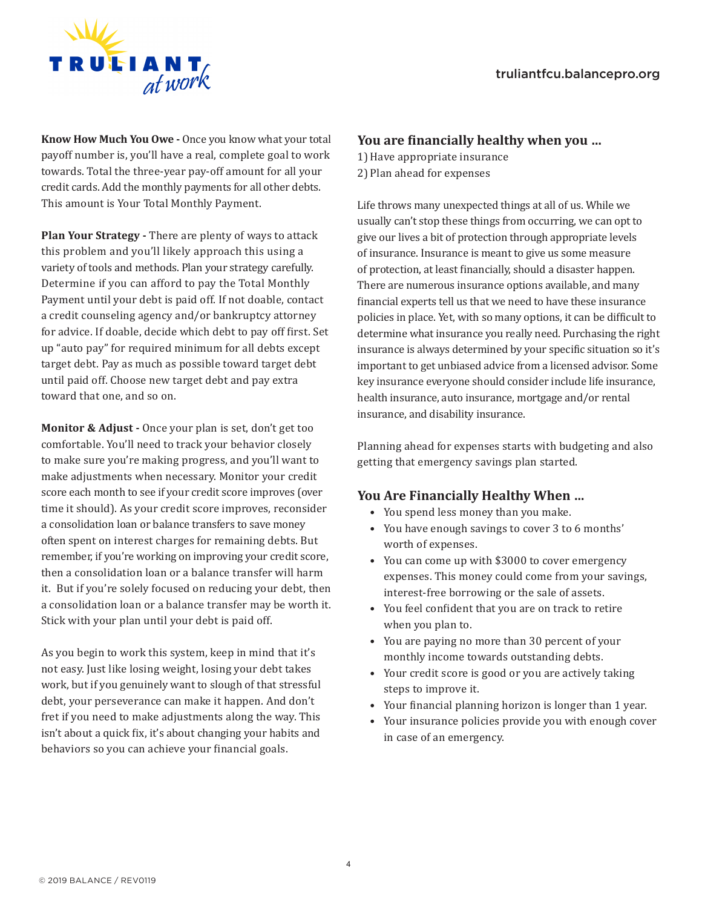

**Know How Much You Owe -** Once you know what your total payoff number is, you'll have a real, complete goal to work towards. Total the three-year pay-off amount for all your credit cards. Add the monthly payments for all other debts. This amount is Your Total Monthly Payment.

**Plan Your Strategy -** There are plenty of ways to attack this problem and you'll likely approach this using a variety of tools and methods. Plan your strategy carefully. Determine if you can afford to pay the Total Monthly Payment until your debt is paid off. If not doable, contact a credit counseling agency and/or bankruptcy attorney for advice. If doable, decide which debt to pay off first. Set up "auto pay" for required minimum for all debts except target debt. Pay as much as possible toward target debt until paid off. Choose new target debt and pay extra toward that one, and so on.

**Monitor & Adjust -** Once your plan is set, don't get too comfortable. You'll need to track your behavior closely to make sure you're making progress, and you'll want to make adjustments when necessary. Monitor your credit score each month to see if your credit score improves (over time it should). As your credit score improves, reconsider a consolidation loan or balance transfers to save money often spent on interest charges for remaining debts. But remember, if you're working on improving your credit score, then a consolidation loan or a balance transfer will harm it. But if you're solely focused on reducing your debt, then a consolidation loan or a balance transfer may be worth it. Stick with your plan until your debt is paid off.

As you begin to work this system, keep in mind that it's not easy. Just like losing weight, losing your debt takes work, but if you genuinely want to slough of that stressful debt, your perseverance can make it happen. And don't fret if you need to make adjustments along the way. This isn't about a quick fix, it's about changing your habits and behaviors so you can achieve your financial goals.

#### **You are financially healthy when you …**

1)Have appropriate insurance 2) Plan ahead for expenses

Life throws many unexpected things at all of us. While we usually can't stop these things from occurring, we can opt to give our lives a bit of protection through appropriate levels of insurance. Insurance is meant to give us some measure of protection, at least financially, should a disaster happen. There are numerous insurance options available, and many financial experts tell us that we need to have these insurance policies in place. Yet, with so many options, it can be difficult to determine what insurance you really need. Purchasing the right insurance is always determined by your specific situation so it's important to get unbiased advice from a licensed advisor. Some key insurance everyone should consider include life insurance, health insurance, auto insurance, mortgage and/or rental insurance, and disability insurance.

Planning ahead for expenses starts with budgeting and also getting that emergency savings plan started.

#### **You Are Financially Healthy When …**

- You spend less money than you make.
- You have enough savings to cover 3 to 6 months' worth of expenses.
- You can come up with \$3000 to cover emergency expenses. This money could come from your savings, interest-free borrowing or the sale of assets.
- You feel confident that you are on track to retire when you plan to.
- You are paying no more than 30 percent of your monthly income towards outstanding debts.
- Your credit score is good or you are actively taking steps to improve it.
- Your financial planning horizon is longer than 1 year.
- Your insurance policies provide you with enough cover in case of an emergency.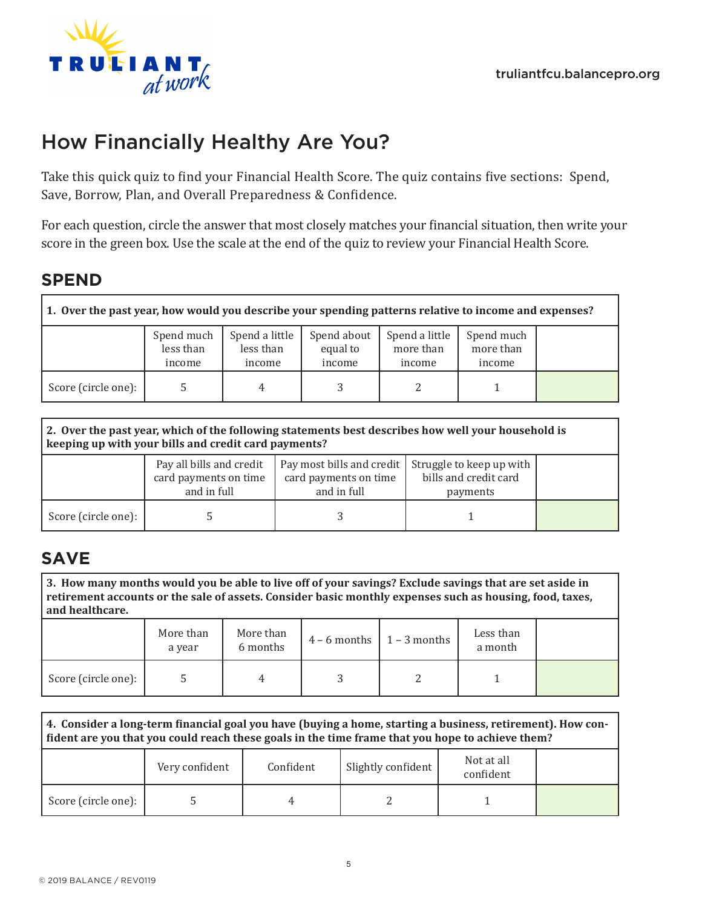

# How Financially Healthy Are You?

Take this quick quiz to find your Financial Health Score. The quiz contains five sections: Spend, Save, Borrow, Plan, and Overall Preparedness & Confidence.

For each question, circle the answer that most closely matches your financial situation, then write your score in the green box. Use the scale at the end of the quiz to review your Financial Health Score.

# **SPEND**

| 1. Over the past year, how would you describe your spending patterns relative to income and expenses? |                                   |                                       |                                   |                                       |                                   |  |  |  |
|-------------------------------------------------------------------------------------------------------|-----------------------------------|---------------------------------------|-----------------------------------|---------------------------------------|-----------------------------------|--|--|--|
|                                                                                                       | Spend much<br>less than<br>income | Spend a little<br>less than<br>income | Spend about<br>equal to<br>income | Spend a little<br>more than<br>income | Spend much<br>more than<br>income |  |  |  |
| Score (circle one):                                                                                   |                                   | 4                                     |                                   |                                       |                                   |  |  |  |

| 2. Over the past year, which of the following statements best describes how well your household is<br>keeping up with your bills and credit card payments? |                                                                  |                                                                   |                                                               |  |  |  |  |
|------------------------------------------------------------------------------------------------------------------------------------------------------------|------------------------------------------------------------------|-------------------------------------------------------------------|---------------------------------------------------------------|--|--|--|--|
|                                                                                                                                                            | Pay all bills and credit<br>card payments on time<br>and in full | Pay most bills and credit<br>card payments on time<br>and in full | Struggle to keep up with<br>bills and credit card<br>payments |  |  |  |  |
| Score (circle one):                                                                                                                                        |                                                                  |                                                                   |                                                               |  |  |  |  |

# **SAVE**

**3. How many months would you be able to live off of your savings? Exclude savings that are set aside in retirement accounts or the sale of assets. Consider basic monthly expenses such as housing, food, taxes, and healthcare.**

|                     | More than<br>a year | More than<br>6 months | $4 - 6$ months $1 - 3$ months | Less than<br>a month |  |
|---------------------|---------------------|-----------------------|-------------------------------|----------------------|--|
| Score (circle one): |                     | 4                     |                               |                      |  |

| 4. Consider a long-term financial goal you have (buying a home, starting a business, retirement). How con-<br>fident are you that you could reach these goals in the time frame that you hope to achieve them? |                |           |                                               |  |  |  |  |
|----------------------------------------------------------------------------------------------------------------------------------------------------------------------------------------------------------------|----------------|-----------|-----------------------------------------------|--|--|--|--|
|                                                                                                                                                                                                                | Very confident | Confident | Not at all<br>Slightly confident<br>confident |  |  |  |  |
| Score (circle one):                                                                                                                                                                                            |                |           |                                               |  |  |  |  |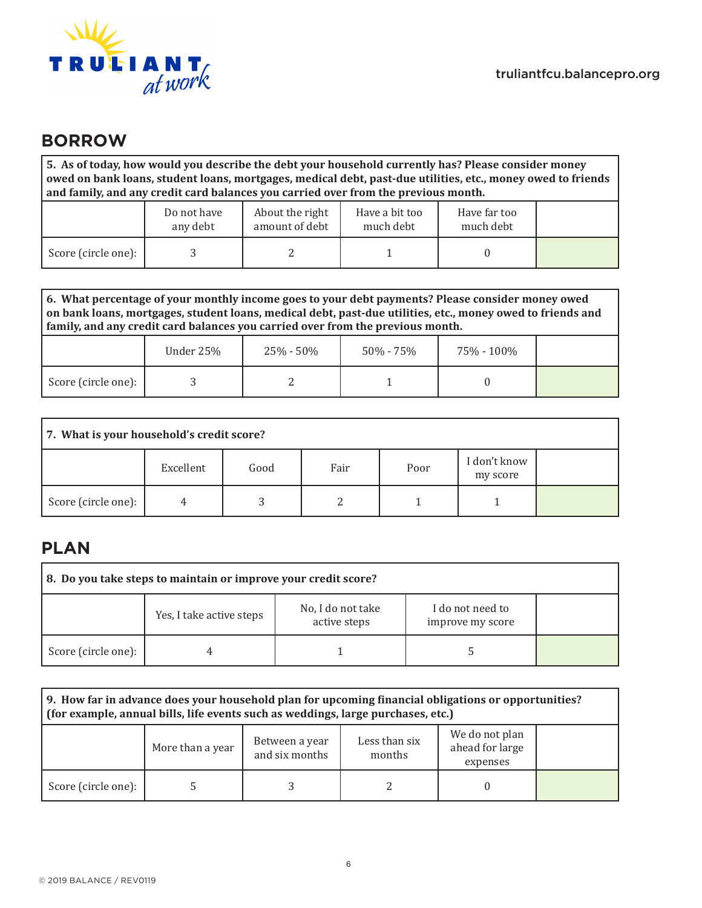

### **BORROW**

**5. As of today, how would you describe the debt your household currently has? Please consider money owed on bank loans, student loans, mortgages, medical debt, past-due utilities, etc., money owed to friends and family, and any credit card balances you carried over from the previous month.**

|                     | Do not have<br>any debt | About the right<br>amount of debt | Have a bit too<br>much debt | Have far too<br>much debt |  |
|---------------------|-------------------------|-----------------------------------|-----------------------------|---------------------------|--|
| Score (circle one): |                         |                                   |                             |                           |  |

**6. What percentage of your monthly income goes to your debt payments? Please consider money owed on bank loans, mortgages, student loans, medical debt, past-due utilities, etc., money owed to friends and family, and any credit card balances you carried over from the previous month.**

|                     | Under 25% | 25% - 50% | $50\%$ - $75\%$ | 75% - 100% |  |
|---------------------|-----------|-----------|-----------------|------------|--|
| Score (circle one): |           | ⊷         |                 |            |  |

| 7. What is your household's credit score? |           |      |      |      |                          |  |  |
|-------------------------------------------|-----------|------|------|------|--------------------------|--|--|
|                                           | Excellent | Good | Fair | Poor | I don't know<br>my score |  |  |
| Score (circle one):                       |           | J    |      |      |                          |  |  |

# **PLAN**

| 8. Do you take steps to maintain or improve your credit score? |                          |                                   |                                      |  |  |  |  |
|----------------------------------------------------------------|--------------------------|-----------------------------------|--------------------------------------|--|--|--|--|
|                                                                | Yes, I take active steps | No, I do not take<br>active steps | I do not need to<br>improve my score |  |  |  |  |
| Score (circle one):                                            |                          |                                   |                                      |  |  |  |  |

| 9. How far in advance does your household plan for upcoming financial obligations or opportunities?<br>(for example, annual bills, life events such as weddings, large purchases, etc.) |                  |                                                                                                              |  |  |  |  |  |
|-----------------------------------------------------------------------------------------------------------------------------------------------------------------------------------------|------------------|--------------------------------------------------------------------------------------------------------------|--|--|--|--|--|
|                                                                                                                                                                                         | More than a year | We do not plan<br>Less than six<br>Between a year<br>ahead for large<br>and six months<br>months<br>expenses |  |  |  |  |  |
| Score (circle one):                                                                                                                                                                     |                  |                                                                                                              |  |  |  |  |  |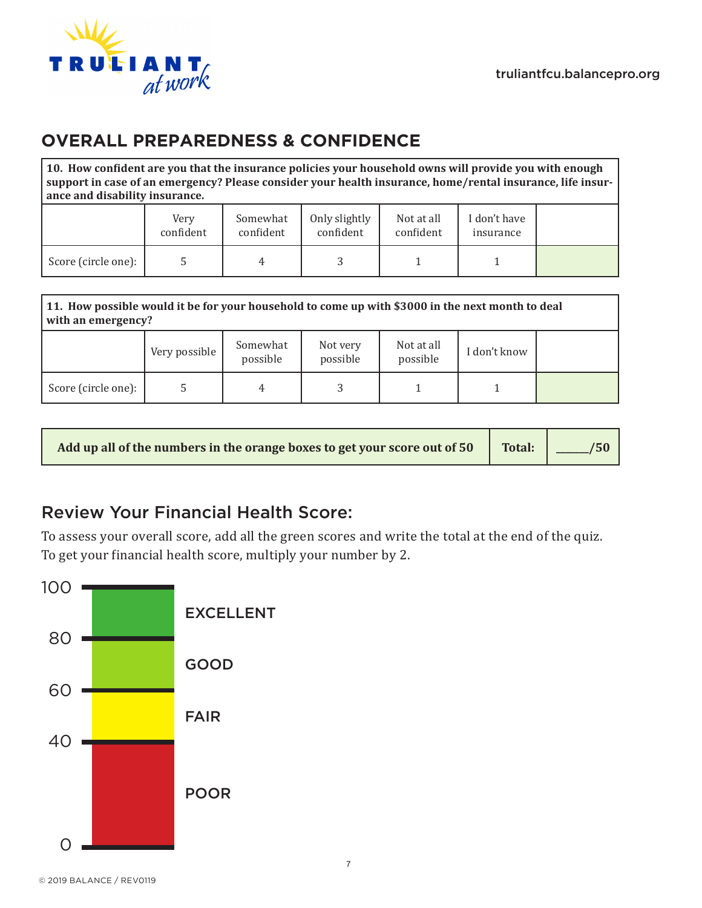

# **OVERALL PREPAREDNESS & CONFIDENCE**

**10. How confident are you that the insurance policies your household owns will provide you with enough support in case of an emergency? Please consider your health insurance, home/rental insurance, life insurance and disability insurance.**

|                     | Very<br>confident | Somewhat<br>confident | Only slightly<br>confident | Not at all<br>confident | I don't have<br>insurance |  |
|---------------------|-------------------|-----------------------|----------------------------|-------------------------|---------------------------|--|
| Score (circle one): |                   | 4                     |                            |                         |                           |  |

| 11. How possible would it be for your household to come up with \$3000 in the next month to deal<br>with an emergency? |               |                      |                      |                        |              |  |  |  |
|------------------------------------------------------------------------------------------------------------------------|---------------|----------------------|----------------------|------------------------|--------------|--|--|--|
|                                                                                                                        | Very possible | Somewhat<br>possible | Not very<br>possible | Not at all<br>possible | I don't know |  |  |  |
| Score (circle one):                                                                                                    |               | 4                    |                      |                        |              |  |  |  |

| Add up all of the numbers in the orange boxes to get your score out of 50 Total: 2005 |  |  |
|---------------------------------------------------------------------------------------|--|--|
|---------------------------------------------------------------------------------------|--|--|

# Review Your Financial Health Score:

To assess your overall score, add all the green scores and write the total at the end of the quiz. To get your financial health score, multiply your number by 2.